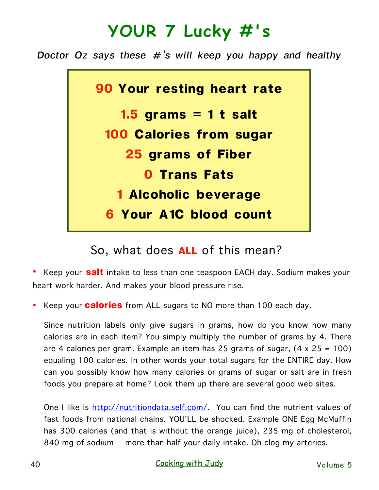## **YOUR 7 Lucky #'s**

*Doctor Oz says these #'s will keep you happy and healthy*



So, what does **ALL** of this mean?

§ Keep your **salt** intake to less than one teaspoon EACH day. Sodium makes your heart work harder. And makes your blood pressure rise.

§ Keep your **calories** from ALL sugars to NO more than 100 each day.

Since nutrition labels only give sugars in grams, how do you know how many calories are in each item? You simply multiply the number of grams by 4. There are 4 calories per gram. Example an item has 25 grams of sugar, (4 x 25 = 100) equaling 100 calories. In other words your total sugars for the ENTIRE day. How can you possibly know how many calories or grams of sugar or salt are in fresh foods you prepare at home? Look them up there are several good web sites.

One I like is <http://nutritiondata.self.com/>. You can find the nutrient values of fast foods from national chains. YOU'LL be shocked. Example ONE Egg McMuffin has 300 calories (and that is without the orange juice), 235 mg of cholesterol, 840 mg of sodium -- more than half your daily intake. Oh clog my arteries.